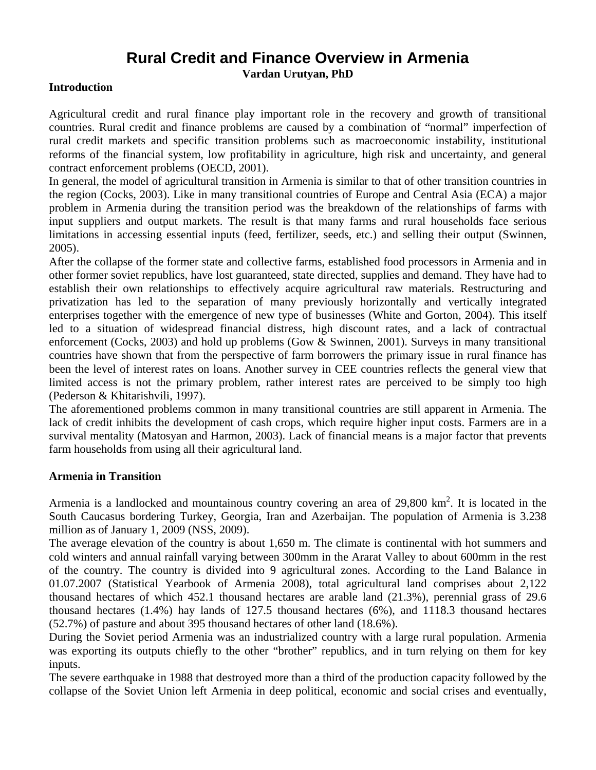# **Rural Credit and Finance Overview in Armenia**

**Vardan Urutyan, PhD** 

## **Introduction**

Agricultural credit and rural finance play important role in the recovery and growth of transitional countries. Rural credit and finance problems are caused by a combination of "normal" imperfection of rural credit markets and specific transition problems such as macroeconomic instability, institutional reforms of the financial system, low profitability in agriculture, high risk and uncertainty, and general contract enforcement problems (OECD, 2001).

In general, the model of agricultural transition in Armenia is similar to that of other transition countries in the region (Cocks, 2003). Like in many transitional countries of Europe and Central Asia (ECA) a major problem in Armenia during the transition period was the breakdown of the relationships of farms with input suppliers and output markets. The result is that many farms and rural households face serious limitations in accessing essential inputs (feed, fertilizer, seeds, etc.) and selling their output (Swinnen, 2005).

After the collapse of the former state and collective farms, established food processors in Armenia and in other former soviet republics, have lost guaranteed, state directed, supplies and demand. They have had to establish their own relationships to effectively acquire agricultural raw materials. Restructuring and privatization has led to the separation of many previously horizontally and vertically integrated enterprises together with the emergence of new type of businesses (White and Gorton, 2004). This itself led to a situation of widespread financial distress, high discount rates, and a lack of contractual enforcement (Cocks, 2003) and hold up problems (Gow & Swinnen, 2001). Surveys in many transitional countries have shown that from the perspective of farm borrowers the primary issue in rural finance has been the level of interest rates on loans. Another survey in CEE countries reflects the general view that limited access is not the primary problem, rather interest rates are perceived to be simply too high (Pederson & Khitarishvili, 1997).

The aforementioned problems common in many transitional countries are still apparent in Armenia. The lack of credit inhibits the development of cash crops, which require higher input costs. Farmers are in a survival mentality (Matosyan and Harmon, 2003). Lack of financial means is a major factor that prevents farm households from using all their agricultural land.

## **Armenia in Transition**

Armenia is a landlocked and mountainous country covering an area of 29,800 km<sup>2</sup>. It is located in the South Caucasus bordering Turkey, Georgia, Iran and Azerbaijan. The population of Armenia is 3.238 million as of January 1, 2009 (NSS, 2009).

The average elevation of the country is about 1,650 m. The climate is continental with hot summers and cold winters and annual rainfall varying between 300mm in the Ararat Valley to about 600mm in the rest of the country. The country is divided into 9 agricultural zones. According to the Land Balance in 01.07.2007 (Statistical Yearbook of Armenia 2008), total agricultural land comprises about 2,122 thousand hectares of which 452.1 thousand hectares are arable land (21.3%), perennial grass of 29.6 thousand hectares (1.4%) hay lands of 127.5 thousand hectares (6%), and 1118.3 thousand hectares (52.7%) of pasture and about 395 thousand hectares of other land (18.6%).

During the Soviet period Armenia was an industrialized country with a large rural population. Armenia was exporting its outputs chiefly to the other "brother" republics, and in turn relying on them for key inputs.

The severe earthquake in 1988 that destroyed more than a third of the production capacity followed by the collapse of the Soviet Union left Armenia in deep political, economic and social crises and eventually,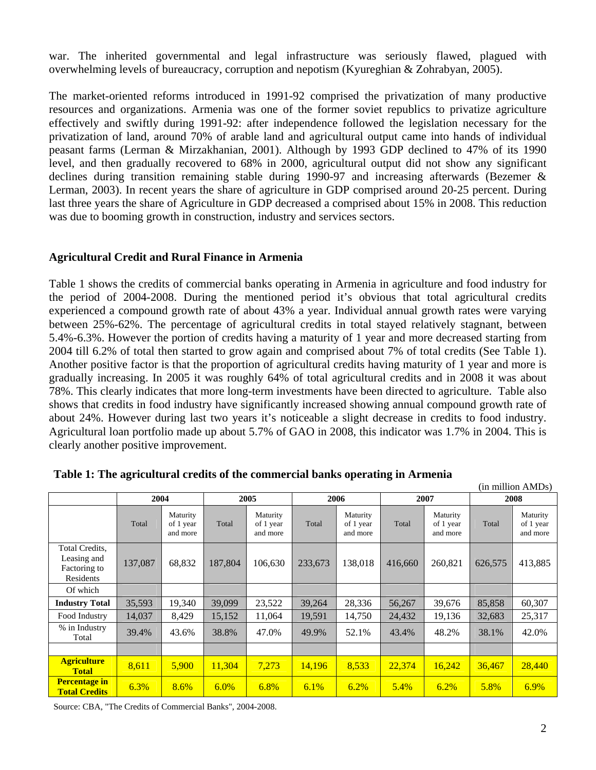war. The inherited governmental and legal infrastructure was seriously flawed, plagued with overwhelming levels of bureaucracy, corruption and nepotism (Kyureghian & Zohrabyan, 2005).

The market-oriented reforms introduced in 1991-92 comprised the privatization of many productive resources and organizations. Armenia was one of the former soviet republics to privatize agriculture effectively and swiftly during 1991-92: after independence followed the legislation necessary for the privatization of land, around 70% of arable land and agricultural output came into hands of individual peasant farms (Lerman & Mirzakhanian, 2001). Although by 1993 GDP declined to 47% of its 1990 level, and then gradually recovered to 68% in 2000, agricultural output did not show any significant declines during transition remaining stable during 1990-97 and increasing afterwards (Bezemer & Lerman, 2003). In recent years the share of agriculture in GDP comprised around 20-25 percent. During last three years the share of Agriculture in GDP decreased a comprised about 15% in 2008. This reduction was due to booming growth in construction, industry and services sectors.

## **Agricultural Credit and Rural Finance in Armenia**

Table 1 shows the credits of commercial banks operating in Armenia in agriculture and food industry for the period of 2004-2008. During the mentioned period it's obvious that total agricultural credits experienced a compound growth rate of about 43% a year. Individual annual growth rates were varying between 25%-62%. The percentage of agricultural credits in total stayed relatively stagnant, between 5.4%-6.3%. However the portion of credits having a maturity of 1 year and more decreased starting from 2004 till 6.2% of total then started to grow again and comprised about 7% of total credits (See Table 1). Another positive factor is that the proportion of agricultural credits having maturity of 1 year and more is gradually increasing. In 2005 it was roughly 64% of total agricultural credits and in 2008 it was about 78%. This clearly indicates that more long-term investments have been directed to agriculture. Table also shows that credits in food industry have significantly increased showing annual compound growth rate of about 24%. However during last two years it's noticeable a slight decrease in credits to food industry. Agricultural loan portfolio made up about 5.7% of GAO in 2008, this indicator was 1.7% in 2004. This is clearly another positive improvement.

|                                                            | (in million AMDs) |                                   |         |                                   |         |                                   |         |                                   |         |                                   |
|------------------------------------------------------------|-------------------|-----------------------------------|---------|-----------------------------------|---------|-----------------------------------|---------|-----------------------------------|---------|-----------------------------------|
|                                                            | 2004              |                                   | 2005    |                                   | 2006    |                                   | 2007    |                                   | 2008    |                                   |
|                                                            | Total             | Maturity<br>of 1 year<br>and more | Total   | Maturity<br>of 1 year<br>and more | Total   | Maturity<br>of 1 year<br>and more | Total   | Maturity<br>of 1 year<br>and more | Total   | Maturity<br>of 1 year<br>and more |
| Total Credits.<br>Leasing and<br>Factoring to<br>Residents | 137,087           | 68,832                            | 187,804 | 106.630                           | 233,673 | 138,018                           | 416,660 | 260,821                           | 626,575 | 413,885                           |
| Of which                                                   |                   |                                   |         |                                   |         |                                   |         |                                   |         |                                   |
| <b>Industry Total</b>                                      | 35,593            | 19,340                            | 39,099  | 23,522                            | 39,264  | 28,336                            | 56,267  | 39,676                            | 85,858  | 60,307                            |
| Food Industry                                              | 14,037            | 8,429                             | 15,152  | 11.064                            | 19,591  | 14,750                            | 24,432  | 19,136                            | 32,683  | 25,317                            |
| % in Industry<br>Total                                     | 39.4%             | 43.6%                             | 38.8%   | 47.0%                             | 49.9%   | 52.1%                             | 43.4%   | 48.2%                             | 38.1%   | 42.0%                             |
|                                                            |                   |                                   |         |                                   |         |                                   |         |                                   |         |                                   |
| <b>Agriculture</b><br><b>Total</b>                         | 8,611             | 5,900                             | 11,304  | 7,273                             | 14,196  | 8,533                             | 22,374  | 16,242                            | 36,467  | 28,440                            |
| <b>Percentage in</b><br><b>Total Credits</b>               | 6.3%              | 8.6%                              | 6.0%    | 6.8%                              | 6.1%    | 6.2%                              | 5.4%    | 6.2%                              | 5.8%    | 6.9%                              |

|  |  |  | Table 1: The agricultural credits of the commercial banks operating in Armenia |
|--|--|--|--------------------------------------------------------------------------------|

Source: CBA, "The Credits of Commercial Banks", 2004-2008.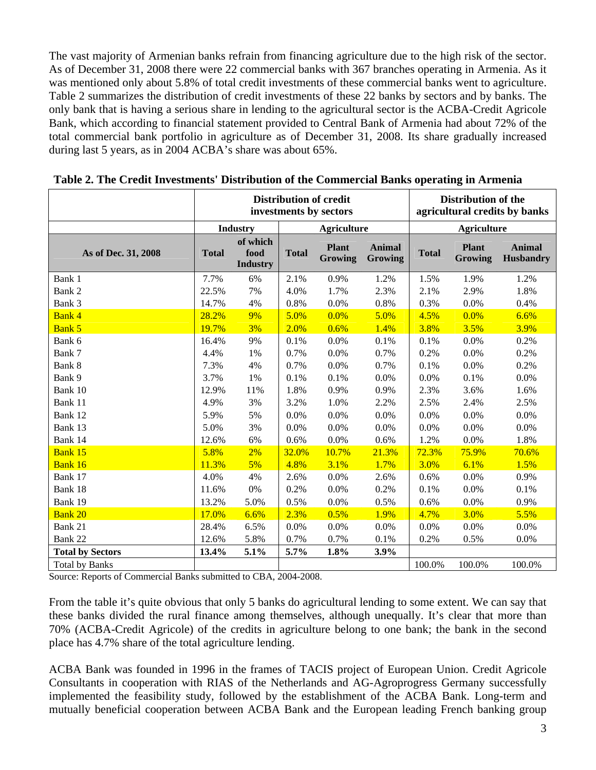The vast majority of Armenian banks refrain from financing agriculture due to the high risk of the sector. As of December 31, 2008 there were 22 commercial banks with 367 branches operating in Armenia. As it was mentioned only about 5.8% of total credit investments of these commercial banks went to agriculture. Table 2 summarizes the distribution of credit investments of these 22 banks by sectors and by banks. The only bank that is having a serious share in lending to the agricultural sector is the ACBA-Credit Agricole Bank, which according to financial statement provided to Central Bank of Armenia had about 72% of the total commercial bank portfolio in agriculture as of December 31, 2008. Its share gradually increased during last 5 years, as in 2004 ACBA's share was about 65%.

|                                                                                                                                                                                                                                           | <b>Distribution of credit</b><br>investments by sectors |                                     |                    |                                |                          | <b>Distribution of the</b><br>agricultural credits by banks |                                |                                   |
|-------------------------------------------------------------------------------------------------------------------------------------------------------------------------------------------------------------------------------------------|---------------------------------------------------------|-------------------------------------|--------------------|--------------------------------|--------------------------|-------------------------------------------------------------|--------------------------------|-----------------------------------|
|                                                                                                                                                                                                                                           |                                                         | <b>Industry</b>                     | <b>Agriculture</b> |                                |                          | <b>Agriculture</b>                                          |                                |                                   |
| As of Dec. 31, 2008                                                                                                                                                                                                                       | <b>Total</b>                                            | of which<br>food<br><b>Industry</b> | <b>Total</b>       | <b>Plant</b><br><b>Growing</b> | <b>Animal</b><br>Growing | <b>Total</b>                                                | <b>Plant</b><br><b>Growing</b> | <b>Animal</b><br><b>Husbandry</b> |
| Bank 1                                                                                                                                                                                                                                    | 7.7%                                                    | 6%                                  | 2.1%               | 0.9%                           | 1.2%                     | 1.5%                                                        | 1.9%                           | 1.2%                              |
| Bank 2                                                                                                                                                                                                                                    | 22.5%                                                   | 7%                                  | 4.0%               | 1.7%                           | 2.3%                     | 2.1%                                                        | 2.9%                           | 1.8%                              |
| Bank 3                                                                                                                                                                                                                                    | 14.7%                                                   | 4%                                  | 0.8%               | 0.0%                           | 0.8%                     | 0.3%                                                        | 0.0%                           | 0.4%                              |
| <b>Bank 4</b>                                                                                                                                                                                                                             | 28.2%                                                   | 9%                                  | 5.0%               | 0.0%                           | 5.0%                     | 4.5%                                                        | 0.0%                           | 6.6%                              |
| <b>Bank 5</b>                                                                                                                                                                                                                             | 19.7%                                                   | 3%                                  | 2.0%               | 0.6%                           | 1.4%                     | 3.8%                                                        | 3.5%                           | 3.9%                              |
| Bank 6                                                                                                                                                                                                                                    | 16.4%                                                   | 9%                                  | 0.1%               | 0.0%                           | 0.1%                     | 0.1%                                                        | 0.0%                           | 0.2%                              |
| Bank 7                                                                                                                                                                                                                                    | 4.4%                                                    | 1%                                  | 0.7%               | 0.0%                           | 0.7%                     | 0.2%                                                        | 0.0%                           | 0.2%                              |
| Bank 8                                                                                                                                                                                                                                    | 7.3%                                                    | 4%                                  | 0.7%               | 0.0%                           | 0.7%                     | 0.1%                                                        | 0.0%                           | 0.2%                              |
| Bank 9                                                                                                                                                                                                                                    | 3.7%                                                    | 1%                                  | 0.1%               | 0.1%                           | 0.0%                     | 0.0%                                                        | 0.1%                           | 0.0%                              |
| Bank 10                                                                                                                                                                                                                                   | 12.9%                                                   | 11%                                 | 1.8%               | 0.9%                           | 0.9%                     | 2.3%                                                        | 3.6%                           | 1.6%                              |
| Bank 11                                                                                                                                                                                                                                   | 4.9%                                                    | 3%                                  | 3.2%               | 1.0%                           | 2.2%                     | 2.5%                                                        | 2.4%                           | 2.5%                              |
| Bank 12                                                                                                                                                                                                                                   | 5.9%                                                    | 5%                                  | 0.0%               | 0.0%                           | 0.0%                     | 0.0%                                                        | 0.0%                           | 0.0%                              |
| Bank 13                                                                                                                                                                                                                                   | 5.0%                                                    | 3%                                  | 0.0%               | 0.0%                           | 0.0%                     | 0.0%                                                        | 0.0%                           | 0.0%                              |
| Bank 14                                                                                                                                                                                                                                   | 12.6%                                                   | 6%                                  | 0.6%               | 0.0%                           | 0.6%                     | 1.2%                                                        | 0.0%                           | 1.8%                              |
| Bank 15                                                                                                                                                                                                                                   | 5.8%                                                    | 2%                                  | 32.0%              | 10.7%                          | 21.3%                    | 72.3%                                                       | 75.9%                          | 70.6%                             |
| Bank 16                                                                                                                                                                                                                                   | 11.3%                                                   | 5%                                  | 4.8%               | 3.1%                           | 1.7%                     | 3.0%                                                        | 6.1%                           | 1.5%                              |
| Bank 17                                                                                                                                                                                                                                   | 4.0%                                                    | 4%                                  | 2.6%               | 0.0%                           | 2.6%                     | 0.6%                                                        | 0.0%                           | 0.9%                              |
| Bank 18                                                                                                                                                                                                                                   | 11.6%                                                   | 0%                                  | 0.2%               | 0.0%                           | 0.2%                     | 0.1%                                                        | 0.0%                           | 0.1%                              |
| Bank 19                                                                                                                                                                                                                                   | 13.2%                                                   | 5.0%                                | 0.5%               | 0.0%                           | 0.5%                     | 0.6%                                                        | 0.0%                           | 0.9%                              |
| <b>Bank 20</b>                                                                                                                                                                                                                            | 17.0%                                                   | 6.6%                                | 2.3%               | 0.5%                           | 1.9%                     | 4.7%                                                        | 3.0%                           | 5.5%                              |
| Bank 21                                                                                                                                                                                                                                   | 28.4%                                                   | 6.5%                                | 0.0%               | 0.0%                           | 0.0%                     | 0.0%                                                        | 0.0%                           | 0.0%                              |
| Bank 22                                                                                                                                                                                                                                   | 12.6%                                                   | 5.8%                                | 0.7%               | 0.7%                           | 0.1%                     | 0.2%                                                        | 0.5%                           | 0.0%                              |
| <b>Total by Sectors</b>                                                                                                                                                                                                                   | 13.4%                                                   | 5.1%                                | 5.7%               | 1.8%                           | 3.9%                     |                                                             |                                |                                   |
| <b>Total by Banks</b><br>$S_{\text{out},\text{out}}$ $D_{\text{on},\text{out}}$ of $C_{\text{out},\text{in}}$ $D_{\text{out},\text{out}}$ and $D_{\text{out},\text{out}}$ and $D_{\text{out},\text{out}}$ and $D_{\text{out},\text{out}}$ |                                                         |                                     |                    |                                |                          | 100.0%                                                      | 100.0%                         | 100.0%                            |

**Table 2. The Credit Investments' Distribution of the Commercial Banks operating in Armenia** 

Source: Reports of Commercial Banks submitted to CBA, 2004-2008.

From the table it's quite obvious that only 5 banks do agricultural lending to some extent. We can say that these banks divided the rural finance among themselves, although unequally. It's clear that more than 70% (ACBA-Credit Agricole) of the credits in agriculture belong to one bank; the bank in the second place has 4.7% share of the total agriculture lending.

ACBA Bank was founded in 1996 in the frames of TACIS project of European Union. Credit Agricole Consultants in cooperation with RIAS of the Netherlands and AG-Agroprogress Germany successfully implemented the feasibility study, followed by the establishment of the ACBA Bank. Long-term and mutually beneficial cooperation between ACBA Bank and the European leading French banking group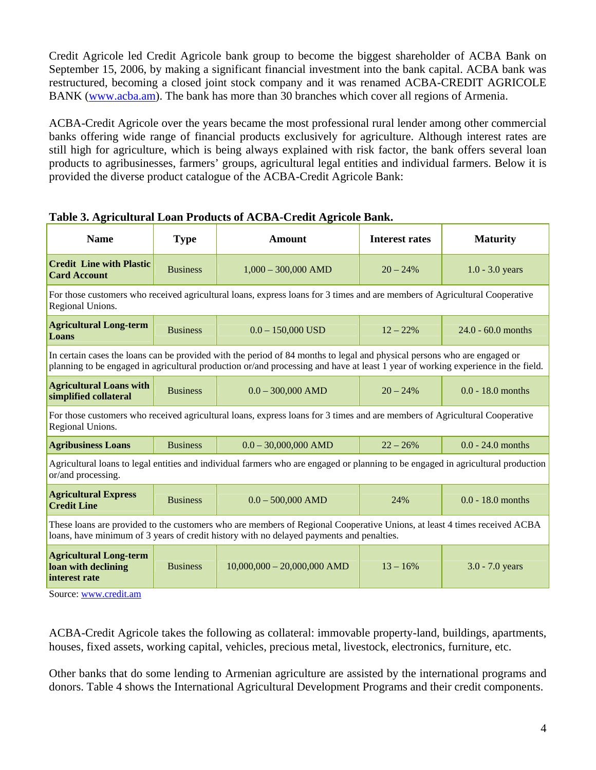Credit Agricole led Credit Agricole bank group to become the biggest shareholder of ACBA Bank on September 15, 2006, by making a significant financial investment into the bank capital. ACBA bank was restructured, becoming a closed joint stock company and it was renamed ACBA-CREDIT AGRICOLE BANK (www.acba.am). The bank has more than 30 branches which cover all regions of Armenia.

ACBA-Credit Agricole over the years became the most professional rural lender among other commercial banks offering wide range of financial products exclusively for agriculture. Although interest rates are still high for agriculture, which is being always explained with risk factor, the bank offers several loan products to agribusinesses, farmers' groups, agricultural legal entities and individual farmers. Below it is provided the diverse product catalogue of the ACBA-Credit Agricole Bank:

| <b>Name</b>                                                                                                                                                                                                                                                  | <b>Type</b>     | <b>Amount</b>                                                                                                                    | <b>Interest rates</b> | <b>Maturity</b>      |  |  |  |
|--------------------------------------------------------------------------------------------------------------------------------------------------------------------------------------------------------------------------------------------------------------|-----------------|----------------------------------------------------------------------------------------------------------------------------------|-----------------------|----------------------|--|--|--|
| <b>Credit Line with Plastic</b><br><b>Card Account</b>                                                                                                                                                                                                       | <b>Business</b> | $1,000 - 300,000$ AMD                                                                                                            | $20 - 24\%$           | $1.0 - 3.0$ years    |  |  |  |
| For those customers who received agricultural loans, express loans for 3 times and are members of Agricultural Cooperative<br>Regional Unions.                                                                                                               |                 |                                                                                                                                  |                       |                      |  |  |  |
| <b>Agricultural Long-term</b><br>Loans                                                                                                                                                                                                                       | <b>Business</b> | $0.0 - 150,000$ USD                                                                                                              | $12 - 22%$            | $24.0 - 60.0$ months |  |  |  |
| In certain cases the loans can be provided with the period of 84 months to legal and physical persons who are engaged or<br>planning to be engaged in agricultural production or/and processing and have at least 1 year of working experience in the field. |                 |                                                                                                                                  |                       |                      |  |  |  |
| <b>Agricultural Loans with</b><br>simplified collateral                                                                                                                                                                                                      | <b>Business</b> | $0.0 - 300,000$ AMD                                                                                                              | $20 - 24%$            | $0.0 - 18.0$ months  |  |  |  |
| Regional Unions.                                                                                                                                                                                                                                             |                 | For those customers who received agricultural loans, express loans for 3 times and are members of Agricultural Cooperative       |                       |                      |  |  |  |
| <b>Agribusiness Loans</b>                                                                                                                                                                                                                                    | <b>Business</b> | $0.0 - 30,000,000$ AMD                                                                                                           | $22 - 26%$            | $0.0 - 24.0$ months  |  |  |  |
| or/and processing.                                                                                                                                                                                                                                           |                 | Agricultural loans to legal entities and individual farmers who are engaged or planning to be engaged in agricultural production |                       |                      |  |  |  |
| <b>Agricultural Express</b><br><b>Credit Line</b>                                                                                                                                                                                                            | <b>Business</b> | $0.0 - 500,000$ AMD                                                                                                              | 24%                   | $0.0 - 18.0$ months  |  |  |  |
| These loans are provided to the customers who are members of Regional Cooperative Unions, at least 4 times received ACBA<br>loans, have minimum of 3 years of credit history with no delayed payments and penalties.                                         |                 |                                                                                                                                  |                       |                      |  |  |  |
| <b>Agricultural Long-term</b><br>loan with declining<br>interest rate                                                                                                                                                                                        | <b>Business</b> | $10,000,000 - 20,000,000$ AMD                                                                                                    | $13 - 16%$            | $3.0 - 7.0$ years    |  |  |  |

# **Table 3. Agricultural Loan Products of ACBA-Credit Agricole Bank.**

Source: www.credit.am

ACBA-Credit Agricole takes the following as collateral: immovable property-land, buildings, apartments, houses, fixed assets, working capital, vehicles, precious metal, livestock, electronics, furniture, etc.

Other banks that do some lending to Armenian agriculture are assisted by the international programs and donors. Table 4 shows the International Agricultural Development Programs and their credit components.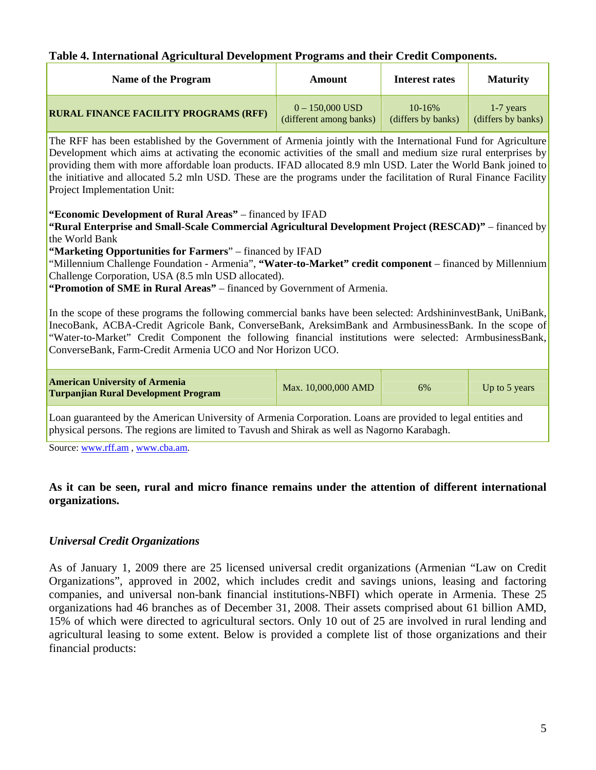### **Table 4. International Agricultural Development Programs and their Credit Components.**

| <b>Name of the Program</b>                   | Amount                  | Interest rates     | <b>Maturity</b>    |
|----------------------------------------------|-------------------------|--------------------|--------------------|
| <b>RURAL FINANCE FACILITY PROGRAMS (RFF)</b> | $0 - 150,000$ USD       | $10 - 16\%$        | $1-7$ years        |
|                                              | (different among banks) | (differs by banks) | (differs by banks) |

The RFF has been established by the Government of Armenia jointly with the International Fund for Agriculture Development which aims at activating the economic activities of the small and medium size rural enterprises by providing them with more affordable loan products. IFAD allocated 8.9 mln USD. Later the World Bank joined to the initiative and allocated 5.2 mln USD. These are the programs under the facilitation of Rural Finance Facility Project Implementation Unit:

**"Economic Development of Rural Areas"** – financed by IFAD

**"Rural Enterprise and Small-Scale Commercial Agricultural Development Project (RESCAD)"** – financed by the World Bank

**"Marketing Opportunities for Farmers**" – financed by IFAD

"Millennium Challenge Foundation - Armenia", **"Water-to-Market" credit component** – financed by Millennium Challenge Corporation, USA (8.5 mln USD allocated).

**"Promotion of SME in Rural Areas"** – financed by Government of Armenia.

In the scope of these programs the following commercial banks have been selected: ArdshininvestBank, UniBank, InecoBank, ACBA-Credit Agricole Bank, ConverseBank, AreksimBank and ArmbusinessBank. In the scope of "Water-to-Market" Credit Component the following financial institutions were selected: ArmbusinessBank, ConverseBank, Farm-Credit Armenia UCO and Nor Horizon UCO.

| <b>American University of Armenia</b><br>Turpanjian Rural Development Program | Max. 10,000,000 AMD | 6% | Up to 5 years |
|-------------------------------------------------------------------------------|---------------------|----|---------------|
|                                                                               |                     |    |               |

Loan guaranteed by the American University of Armenia Corporation. Loans are provided to legal entities and physical persons. The regions are limited to Tavush and Shirak as well as Nagorno Karabagh.

Source: www.rff.am , www.cba.am.

## **As it can be seen, rural and micro finance remains under the attention of different international organizations.**

## *Universal Credit Organizations*

As of January 1, 2009 there are 25 licensed universal credit organizations (Armenian "Law on Credit Organizations", approved in 2002, which includes credit and savings unions, leasing and factoring companies, and universal non-bank financial institutions-NBFI) which operate in Armenia. These 25 organizations had 46 branches as of December 31, 2008. Their assets comprised about 61 billion AMD, 15% of which were directed to agricultural sectors. Only 10 out of 25 are involved in rural lending and agricultural leasing to some extent. Below is provided a complete list of those organizations and their financial products: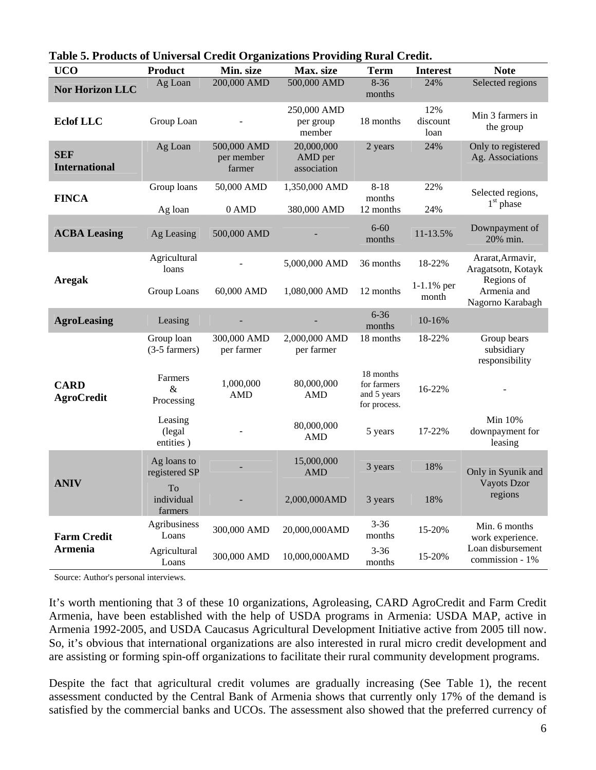| <b>UCO</b>                         | <b>Product</b>                          | Min. size                           | Max. size                            | <b>Term</b>                                             | <b>Interest</b>         | <b>Note</b>                                   |
|------------------------------------|-----------------------------------------|-------------------------------------|--------------------------------------|---------------------------------------------------------|-------------------------|-----------------------------------------------|
| <b>Nor Horizon LLC</b>             | Ag Loan                                 | 200,000 AMD                         | 500,000 AMD                          | $8 - 36$<br>months                                      | 24%                     | Selected regions                              |
| <b>Eclof LLC</b>                   | Group Loan                              |                                     | 250,000 AMD<br>per group<br>member   | 18 months                                               | 12%<br>discount<br>loan | Min 3 farmers in<br>the group                 |
| <b>SEF</b><br><b>International</b> | Ag Loan                                 | 500,000 AMD<br>per member<br>farmer | 20,000,000<br>AMD per<br>association | 2 years                                                 | 24%                     | Only to registered<br>Ag. Associations        |
| <b>FINCA</b>                       | Group loans<br>Ag loan                  | 50,000 AMD<br>0 AMD                 | 1,350,000 AMD<br>380,000 AMD         | $8 - 18$<br>months<br>12 months                         | 22%<br>24%              | Selected regions,<br>1 <sup>st</sup> phase    |
| <b>ACBA Leasing</b>                | Ag Leasing                              | 500,000 AMD                         |                                      | $6 - 60$<br>months                                      | 11-13.5%                | Downpayment of<br>20% min.                    |
| <b>Aregak</b>                      | Agricultural<br>loans                   |                                     | 5,000,000 AMD                        | 36 months                                               | 18-22%                  | Ararat, Armavir,<br>Aragatsotn, Kotayk        |
|                                    | Group Loans                             | 60,000 AMD                          | 1,080,000 AMD                        | 12 months                                               | $1-1.1%$ per<br>month   | Regions of<br>Armenia and<br>Nagorno Karabagh |
| <b>AgroLeasing</b>                 | Leasing                                 |                                     |                                      | $6 - 36$<br>months                                      | 10-16%                  |                                               |
|                                    | Group loan<br>$(3-5 \text{ farmers})$   | 300,000 AMD<br>per farmer           | 2,000,000 AMD<br>per farmer          | 18 months                                               | 18-22%                  | Group bears<br>subsidiary<br>responsibility   |
| <b>CARD</b><br><b>AgroCredit</b>   | Farmers<br>&<br>Processing              | 1,000,000<br><b>AMD</b>             | 80,000,000<br>AMD                    | 18 months<br>for farmers<br>and 5 years<br>for process. | 16-22%                  |                                               |
|                                    | Leasing<br>(legal<br>entities)          |                                     | 80,000,000<br>AMD                    | 5 years                                                 | 17-22%                  | Min 10%<br>downpayment for<br>leasing         |
| <b>ANIV</b>                        | Ag loans to<br>registered SP            |                                     | 15,000,000<br>AMD                    | 3 years                                                 | 18%                     | Only in Syunik and                            |
|                                    | T <sub>o</sub><br>individual<br>farmers |                                     | 2,000,000AMD                         | 3 years                                                 | 18%                     | <b>Vayots Dzor</b><br>regions                 |
| <b>Farm Credit</b>                 | Agribusiness<br>Loans                   | 300,000 AMD                         | 20,000,000AMD                        | $3 - 36$<br>months                                      | 15-20%                  | Min. 6 months<br>work experience.             |
| Armenia                            | Agricultural<br>Loans                   | 300,000 AMD                         | 10,000,000AMD                        | $3 - 36$<br>months                                      | 15-20%                  | Loan disbursement<br>commission - 1%          |

|  |  |  | Table 5. Products of Universal Credit Organizations Providing Rural Credit. |
|--|--|--|-----------------------------------------------------------------------------|
|  |  |  |                                                                             |

Source: Author's personal interviews.

It's worth mentioning that 3 of these 10 organizations, Agroleasing, CARD AgroCredit and Farm Credit Armenia, have been established with the help of USDA programs in Armenia: USDA MAP, active in Armenia 1992-2005, and USDA Caucasus Agricultural Development Initiative active from 2005 till now. So, it's obvious that international organizations are also interested in rural micro credit development and are assisting or forming spin-off organizations to facilitate their rural community development programs.

Despite the fact that agricultural credit volumes are gradually increasing (See Table 1), the recent assessment conducted by the Central Bank of Armenia shows that currently only 17% of the demand is satisfied by the commercial banks and UCOs. The assessment also showed that the preferred currency of